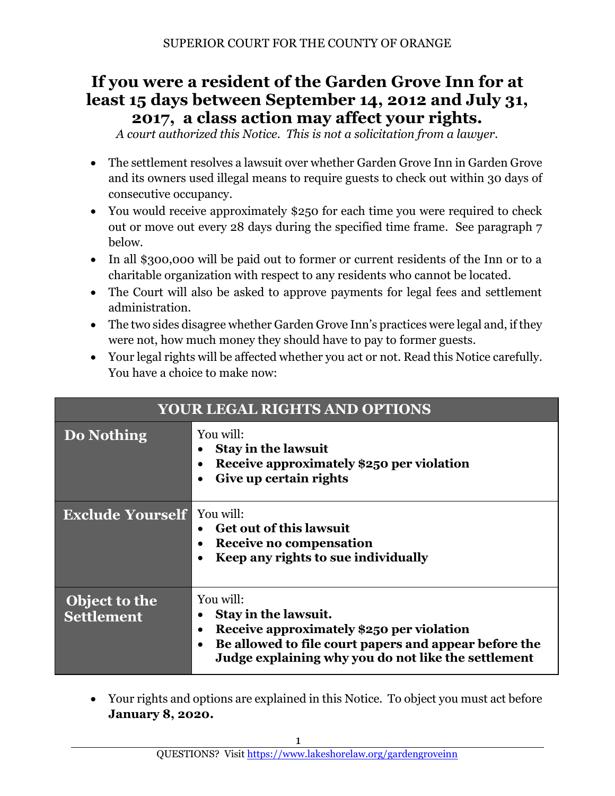# **If you were a resident of the Garden Grove Inn for at least 15 days between September 14, 2012 and July 31, 2017, a class action may affect your rights.**

*A court authorized this Notice. This is not a solicitation from a lawyer.*

- The settlement resolves a lawsuit over whether Garden Grove Inn in Garden Grove and its owners used illegal means to require guests to check out within 30 days of consecutive occupancy.
- You would receive approximately \$250 for each time you were required to check out or move out every 28 days during the specified time frame. See paragraph 7 below.
- In all \$300,000 will be paid out to former or current residents of the Inn or to a charitable organization with respect to any residents who cannot be located.
- The Court will also be asked to approve payments for legal fees and settlement administration.
- The two sides disagree whether Garden Grove Inn's practices were legal and, if they were not, how much money they should have to pay to former guests.
- Your legal rights will be affected whether you act or not. Read this Notice carefully. You have a choice to make now:

| <b>YOUR LEGAL RIGHTS AND OPTIONS</b> |                                                                                                                                                                                                                  |  |
|--------------------------------------|------------------------------------------------------------------------------------------------------------------------------------------------------------------------------------------------------------------|--|
| Do Nothing                           | You will:<br><b>Stay in the lawsuit</b><br>Receive approximately \$250 per violation<br>Give up certain rights                                                                                                   |  |
| <b>Exclude Yourself</b>              | You will:<br><b>Get out of this lawsuit</b><br>Receive no compensation<br>Keep any rights to sue individually                                                                                                    |  |
| Object to the<br>Settlement          | You will:<br>Stay in the lawsuit.<br>Receive approximately \$250 per violation<br>٠<br>Be allowed to file court papers and appear before the<br>$\bullet$<br>Judge explaining why you do not like the settlement |  |

• Your rights and options are explained in this Notice. To object you must act before **January 8, 2020.**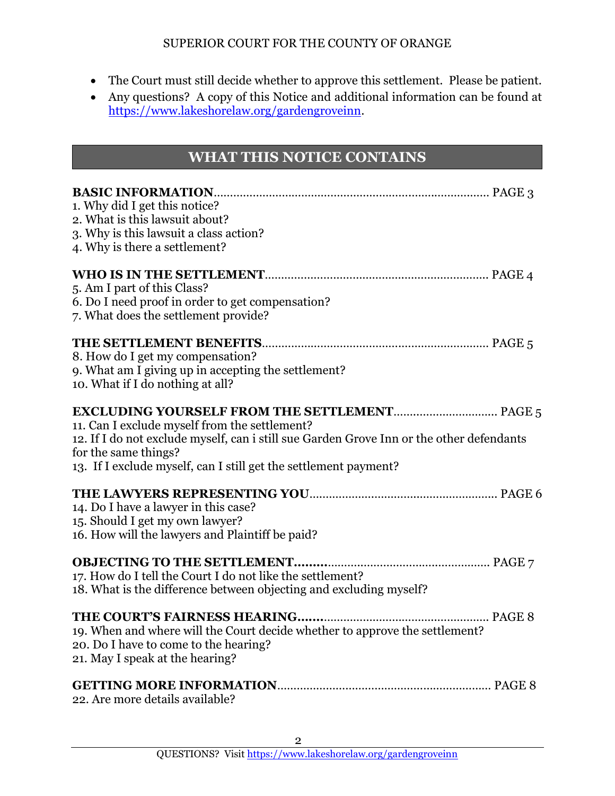- The Court must still decide whether to approve this settlement. Please be patient.
- Any questions? A copy of this Notice and additional information can be found at [https://www.lakeshorelaw.org/gardengroveinn.](https://www.lakeshorelaw.org/gardengroveinn/)

# **WHAT THIS NOTICE CONTAINS**

| 1. Why did I get this notice?<br>2. What is this lawsuit about?<br>3. Why is this lawsuit a class action?<br>4. Why is there a settlement?                                                                                            |
|---------------------------------------------------------------------------------------------------------------------------------------------------------------------------------------------------------------------------------------|
| 5. Am I part of this Class?<br>6. Do I need proof in order to get compensation?<br>7. What does the settlement provide?                                                                                                               |
| 8. How do I get my compensation?<br>9. What am I giving up in accepting the settlement?<br>10. What if I do nothing at all?                                                                                                           |
| 11. Can I exclude myself from the settlement?<br>12. If I do not exclude myself, can i still sue Garden Grove Inn or the other defendants<br>for the same things?<br>13. If I exclude myself, can I still get the settlement payment? |
| 14. Do I have a lawyer in this case?<br>15. Should I get my own lawyer?<br>16. How will the lawyers and Plaintiff be paid?                                                                                                            |
| <b>OBJECTING TO THE SETTLEMENT</b><br>17. How do I tell the Court I do not like the settlement?<br>18. What is the difference between objecting and excluding myself?                                                                 |
| 19. When and where will the Court decide whether to approve the settlement?<br>20. Do I have to come to the hearing?<br>21. May I speak at the hearing?                                                                               |
| ag Aramara dataila availabla?                                                                                                                                                                                                         |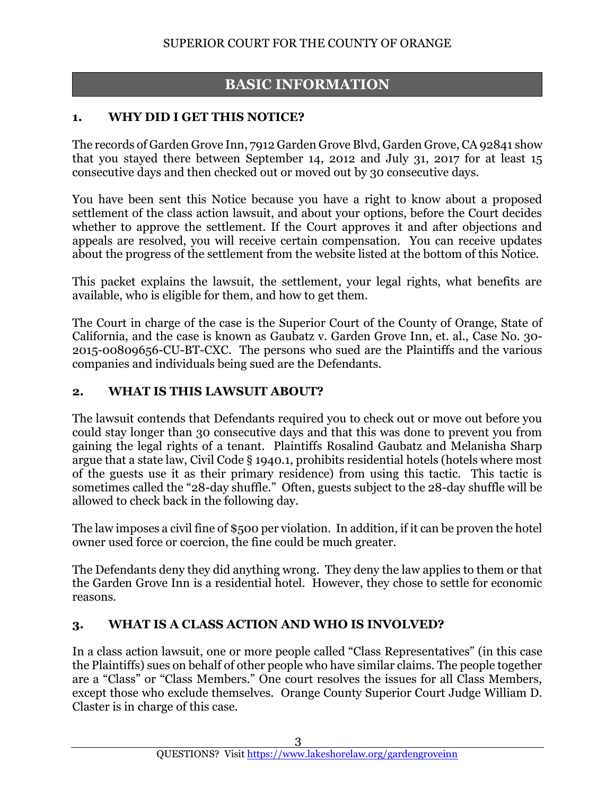# **BASIC INFORMATION**

#### **1. WHY DID I GET THIS NOTICE?**

The records of Garden Grove Inn, 7912 Garden Grove Blvd, Garden Grove, CA 92841 show that you stayed there between September 14, 2012 and July 31, 2017 for at least 15 consecutive days and then checked out or moved out by 30 consecutive days.

You have been sent this Notice because you have a right to know about a proposed settlement of the class action lawsuit, and about your options, before the Court decides whether to approve the settlement. If the Court approves it and after objections and appeals are resolved, you will receive certain compensation. You can receive updates about the progress of the settlement from the website listed at the bottom of this Notice.

This packet explains the lawsuit, the settlement, your legal rights, what benefits are available, who is eligible for them, and how to get them.

The Court in charge of the case is the Superior Court of the County of Orange, State of California, and the case is known as Gaubatz v. Garden Grove Inn, et. al., Case No. 30- 2015-00809656-CU-BT-CXC. The persons who sued are the Plaintiffs and the various companies and individuals being sued are the Defendants.

#### **2. WHAT IS THIS LAWSUIT ABOUT?**

The lawsuit contends that Defendants required you to check out or move out before you could stay longer than 30 consecutive days and that this was done to prevent you from gaining the legal rights of a tenant. Plaintiffs Rosalind Gaubatz and Melanisha Sharp argue that a state law, Civil Code § 1940.1, prohibits residential hotels (hotels where most of the guests use it as their primary residence) from using this tactic. This tactic is sometimes called the "28-day shuffle." Often, guests subject to the 28-day shuffle will be allowed to check back in the following day.

The law imposes a civil fine of \$500 per violation. In addition, if it can be proven the hotel owner used force or coercion, the fine could be much greater.

The Defendants deny they did anything wrong. They deny the law applies to them or that the Garden Grove Inn is a residential hotel. However, they chose to settle for economic reasons.

# **3. WHAT IS A CLASS ACTION AND WHO IS INVOLVED?**

In a class action lawsuit, one or more people called "Class Representatives" (in this case the Plaintiffs) sues on behalf of other people who have similar claims. The people together are a "Class" or "Class Members." One court resolves the issues for all Class Members, except those who exclude themselves. Orange County Superior Court Judge William D. Claster is in charge of this case.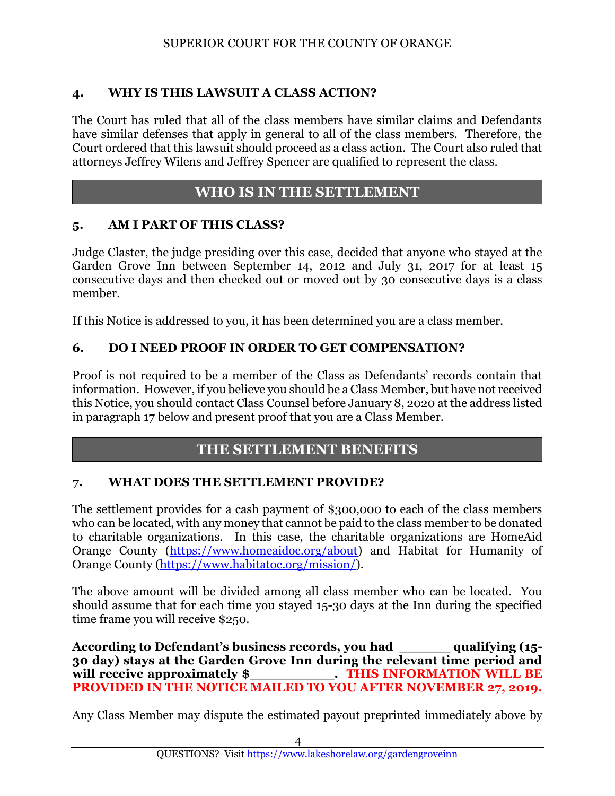## **4. WHY IS THIS LAWSUIT A CLASS ACTION?**

The Court has ruled that all of the class members have similar claims and Defendants have similar defenses that apply in general to all of the class members. Therefore, the Court ordered that this lawsuit should proceed as a class action. The Court also ruled that attorneys Jeffrey Wilens and Jeffrey Spencer are qualified to represent the class.

## **WHO IS IN THE SETTLEMENT**

#### **5. AM I PART OF THIS CLASS?**

Judge Claster, the judge presiding over this case, decided that anyone who stayed at the Garden Grove Inn between September 14, 2012 and July 31, 2017 for at least 15 consecutive days and then checked out or moved out by 30 consecutive days is a class member.

If this Notice is addressed to you, it has been determined you are a class member.

#### **6. DO I NEED PROOF IN ORDER TO GET COMPENSATION?**

Proof is not required to be a member of the Class as Defendants' records contain that information. However, if you believe you should be a Class Member, but have not received this Notice, you should contact Class Counsel before January 8, 2020 at the address listed in paragraph 17 below and present proof that you are a Class Member.

# **THE SETTLEMENT BENEFITS**

#### **7. WHAT DOES THE SETTLEMENT PROVIDE?**

The settlement provides for a cash payment of \$300,000 to each of the class members who can be located, with any money that cannot be paid to the class member to be donated to charitable organizations. In this case, the charitable organizations are HomeAid Orange County [\(https://www.homeaidoc.org/about\)](https://www.homeaidoc.org/about) and Habitat for Humanity of Orange County [\(https://www.habitatoc.org/mission/\)](https://www.habitatoc.org/mission/).

The above amount will be divided among all class member who can be located. You should assume that for each time you stayed 15-30 days at the Inn during the specified time frame you will receive \$250.

**According to Defendant's business records, you had \_\_\_\_\_\_ qualifying (15- 30 day) stays at the Garden Grove Inn during the relevant time period and will receive approximately \$\_\_\_\_\_\_\_\_\_\_. THIS INFORMATION WILL BE PROVIDED IN THE NOTICE MAILED TO YOU AFTER NOVEMBER 27, 2019.**

Any Class Member may dispute the estimated payout preprinted immediately above by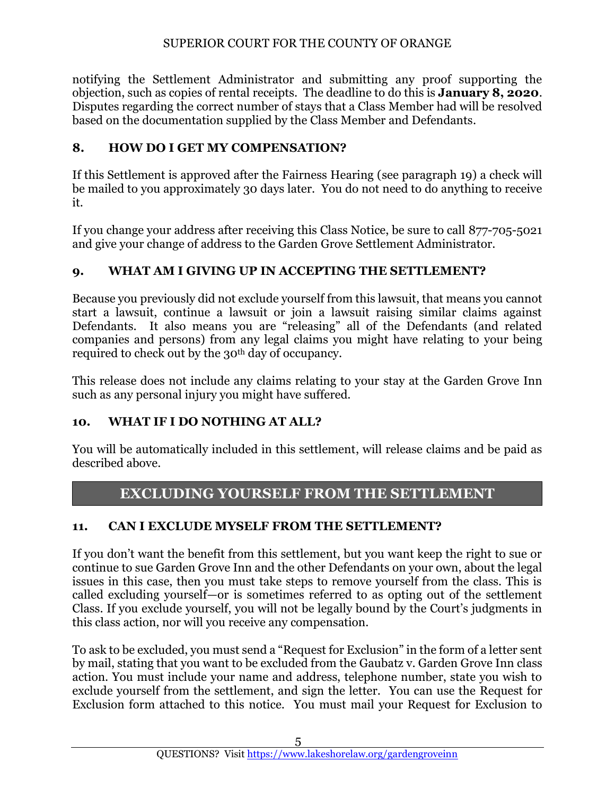notifying the Settlement Administrator and submitting any proof supporting the objection, such as copies of rental receipts. The deadline to do this is **January 8, 2020**. Disputes regarding the correct number of stays that a Class Member had will be resolved based on the documentation supplied by the Class Member and Defendants.

## **8. HOW DO I GET MY COMPENSATION?**

If this Settlement is approved after the Fairness Hearing (see paragraph 19) a check will be mailed to you approximately 30 days later. You do not need to do anything to receive it.

If you change your address after receiving this Class Notice, be sure to call 877-705-5021 and give your change of address to the Garden Grove Settlement Administrator.

## **9. WHAT AM I GIVING UP IN ACCEPTING THE SETTLEMENT?**

Because you previously did not exclude yourself from this lawsuit, that means you cannot start a lawsuit, continue a lawsuit or join a lawsuit raising similar claims against Defendants. It also means you are "releasing" all of the Defendants (and related companies and persons) from any legal claims you might have relating to your being required to check out by the 30<sup>th</sup> day of occupancy.

This release does not include any claims relating to your stay at the Garden Grove Inn such as any personal injury you might have suffered.

#### **10. WHAT IF I DO NOTHING AT ALL?**

You will be automatically included in this settlement, will release claims and be paid as described above.

# **EXCLUDING YOURSELF FROM THE SETTLEMENT**

# **11. CAN I EXCLUDE MYSELF FROM THE SETTLEMENT?**

If you don't want the benefit from this settlement, but you want keep the right to sue or continue to sue Garden Grove Inn and the other Defendants on your own, about the legal issues in this case, then you must take steps to remove yourself from the class. This is called excluding yourself—or is sometimes referred to as opting out of the settlement Class. If you exclude yourself, you will not be legally bound by the Court's judgments in this class action, nor will you receive any compensation.

To ask to be excluded, you must send a "Request for Exclusion" in the form of a letter sent by mail, stating that you want to be excluded from the Gaubatz v. Garden Grove Inn class action. You must include your name and address, telephone number, state you wish to exclude yourself from the settlement, and sign the letter. You can use the Request for Exclusion form attached to this notice. You must mail your Request for Exclusion to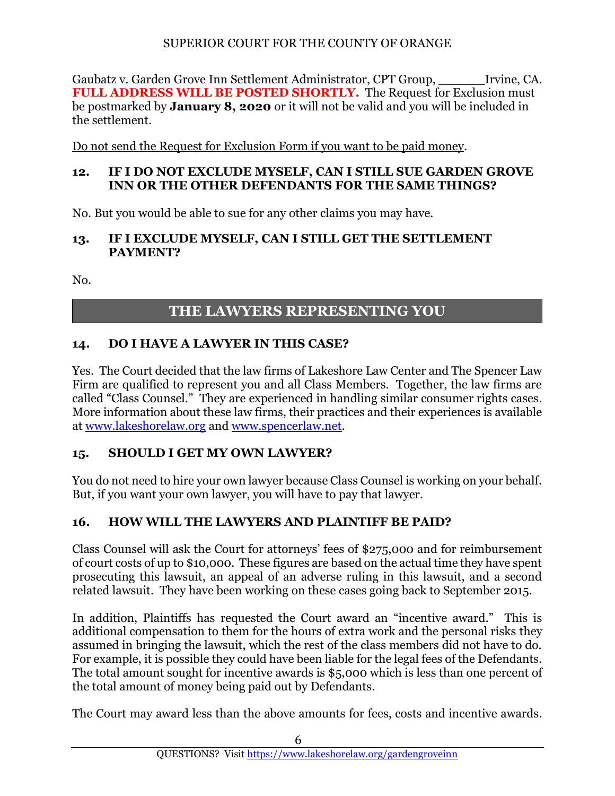Gaubatz v. Garden Grove Inn Settlement Administrator, CPT Group, \_\_\_\_\_\_Irvine, CA. **FULL ADDRESS WILL BE POSTED SHORTLY.** The Request for Exclusion must be postmarked by **January 8, 2020** or it will not be valid and you will be included in the settlement.

Do not send the Request for Exclusion Form if you want to be paid money.

#### **12. IF I DO NOT EXCLUDE MYSELF, CAN I STILL SUE GARDEN GROVE INN OR THE OTHER DEFENDANTS FOR THE SAME THINGS?**

No. But you would be able to sue for any other claims you may have.

#### **13. IF I EXCLUDE MYSELF, CAN I STILL GET THE SETTLEMENT PAYMENT?**

No.

# **THE LAWYERS REPRESENTING YOU**

# **14. DO I HAVE A LAWYER IN THIS CASE?**

Yes. The Court decided that the law firms of Lakeshore Law Center and The Spencer Law Firm are qualified to represent you and all Class Members. Together, the law firms are called "Class Counsel." They are experienced in handling similar consumer rights cases. More information about these law firms, their practices and their experiences is available at [www.lakeshorelaw.org](http://www.lakeshorelaw.org/) and [www.spencerlaw.net.](http://www.spencerlaw.net/)

# **15. SHOULD I GET MY OWN LAWYER?**

You do not need to hire your own lawyer because Class Counsel is working on your behalf. But, if you want your own lawyer, you will have to pay that lawyer.

# **16. HOW WILL THE LAWYERS AND PLAINTIFF BE PAID?**

Class Counsel will ask the Court for attorneys' fees of \$275,000 and for reimbursement of court costs of up to \$10,000. These figures are based on the actual time they have spent prosecuting this lawsuit, an appeal of an adverse ruling in this lawsuit, and a second related lawsuit. They have been working on these cases going back to September 2015.

In addition, Plaintiffs has requested the Court award an "incentive award." This is additional compensation to them for the hours of extra work and the personal risks they assumed in bringing the lawsuit, which the rest of the class members did not have to do. For example, it is possible they could have been liable for the legal fees of the Defendants. The total amount sought for incentive awards is \$5,000 which is less than one percent of the total amount of money being paid out by Defendants.

The Court may award less than the above amounts for fees, costs and incentive awards.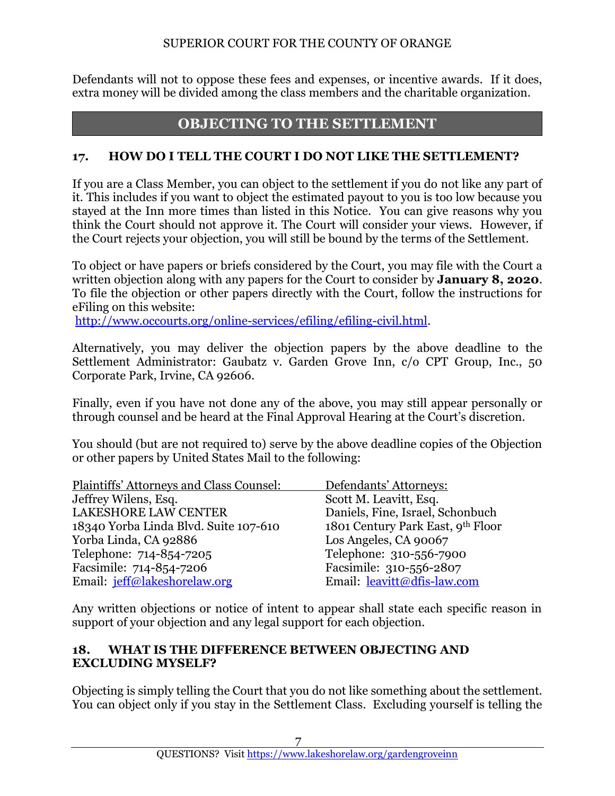Defendants will not to oppose these fees and expenses, or incentive awards. If it does, extra money will be divided among the class members and the charitable organization.

# **OBJECTING TO THE SETTLEMENT**

#### **17. HOW DO I TELL THE COURT I DO NOT LIKE THE SETTLEMENT?**

If you are a Class Member, you can object to the settlement if you do not like any part of it. This includes if you want to object the estimated payout to you is too low because you stayed at the Inn more times than listed in this Notice. You can give reasons why you think the Court should not approve it. The Court will consider your views. However, if the Court rejects your objection, you will still be bound by the terms of the Settlement.

To object or have papers or briefs considered by the Court, you may file with the Court a written objection along with any papers for the Court to consider by **January 8, 2020**. To file the objection or other papers directly with the Court, follow the instructions for eFiling on this website:

[http://www.occourts.org/online-services/efiling/efiling-civil.html.](http://www.occourts.org/online-services/efiling/efiling-civil.html)

Alternatively, you may deliver the objection papers by the above deadline to the Settlement Administrator: Gaubatz v. Garden Grove Inn, c/o CPT Group, Inc., 50 Corporate Park, Irvine, CA 92606.

Finally, even if you have not done any of the above, you may still appear personally or through counsel and be heard at the Final Approval Hearing at the Court's discretion.

You should (but are not required to) serve by the above deadline copies of the Objection or other papers by United States Mail to the following:

| Plaintiffs' Attorneys and Class Counsel: | Defendants' Attorneys:            |
|------------------------------------------|-----------------------------------|
| Jeffrey Wilens, Esq.                     | Scott M. Leavitt, Esq.            |
| <b>LAKESHORE LAW CENTER</b>              | Daniels, Fine, Israel, Schonbuch  |
| 18340 Yorba Linda Blvd. Suite 107-610    | 1801 Century Park East, 9th Floor |
| Yorba Linda, CA 92886                    | Los Angeles, CA 90067             |
| Telephone: 714-854-7205                  | Telephone: 310-556-7900           |
| Facsimile: 714-854-7206                  | Facsimile: 310-556-2807           |
| Email: jeff@lakeshorelaw.org             | Email: leavitt@dfis-law.com       |

Any written objections or notice of intent to appear shall state each specific reason in support of your objection and any legal support for each objection.

#### **18. WHAT IS THE DIFFERENCE BETWEEN OBJECTING AND EXCLUDING MYSELF?**

Objecting is simply telling the Court that you do not like something about the settlement. You can object only if you stay in the Settlement Class. Excluding yourself is telling the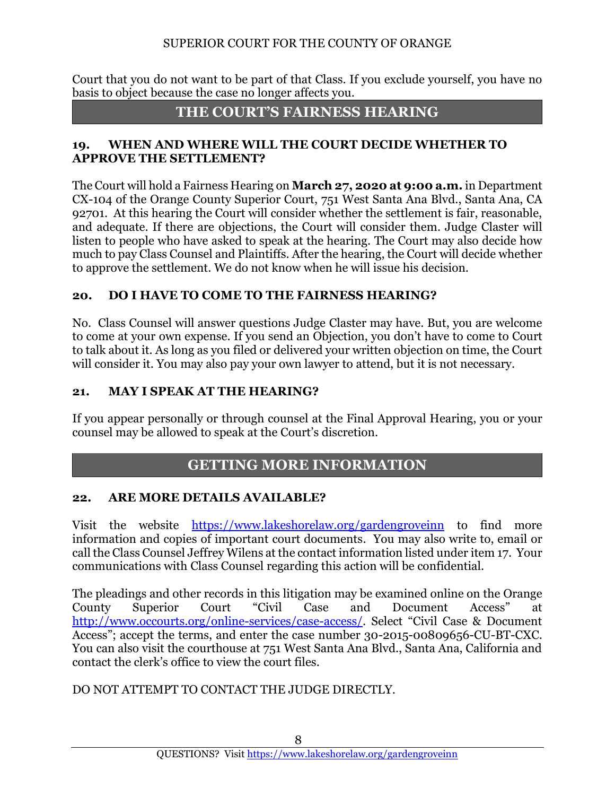Court that you do not want to be part of that Class. If you exclude yourself, you have no basis to object because the case no longer affects you.

# **THE COURT'S FAIRNESS HEARING**

## **19. WHEN AND WHERE WILL THE COURT DECIDE WHETHER TO APPROVE THE SETTLEMENT?**

The Court will hold a Fairness Hearing on **March 27, 2020 at 9:00 a.m.** in Department CX-104 of the Orange County Superior Court, 751 West Santa Ana Blvd., Santa Ana, CA 92701. At this hearing the Court will consider whether the settlement is fair, reasonable, and adequate. If there are objections, the Court will consider them. Judge Claster will listen to people who have asked to speak at the hearing. The Court may also decide how much to pay Class Counsel and Plaintiffs. After the hearing, the Court will decide whether to approve the settlement. We do not know when he will issue his decision.

# **20. DO I HAVE TO COME TO THE FAIRNESS HEARING?**

No. Class Counsel will answer questions Judge Claster may have. But, you are welcome to come at your own expense. If you send an Objection, you don't have to come to Court to talk about it. As long as you filed or delivered your written objection on time, the Court will consider it. You may also pay your own lawyer to attend, but it is not necessary.

## **21. MAY I SPEAK AT THE HEARING?**

If you appear personally or through counsel at the Final Approval Hearing, you or your counsel may be allowed to speak at the Court's discretion.

# **GETTING MORE INFORMATION**

# **22. ARE MORE DETAILS AVAILABLE?**

Visit the website [https://www.lakeshorelaw.org/gardengroveinn](https://www.lakeshorelaw.org/gardengroveinn/) to find more information and copies of important court documents. You may also write to, email or call the Class Counsel Jeffrey Wilens at the contact information listed under item 17. Your communications with Class Counsel regarding this action will be confidential.

The pleadings and other records in this litigation may be examined online on the Orange County Superior Court "Civil Case and Document Access" [http://www.occourts.org/online-services/case-access/.](http://www.occourts.org/online-services/case-access/) Select "Civil Case & Document Access"; accept the terms, and enter the case number 30-2015-00809656-CU-BT-CXC. You can also visit the courthouse at 751 West Santa Ana Blvd., Santa Ana, California and contact the clerk's office to view the court files.

#### DO NOT ATTEMPT TO CONTACT THE JUDGE DIRECTLY.